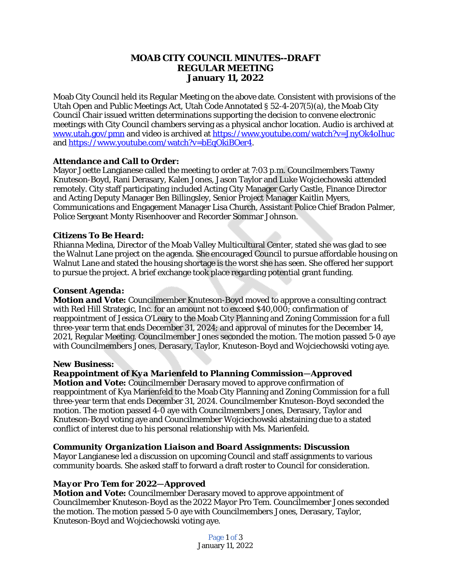# **MOAB CITY COUNCIL MINUTES--DRAFT REGULAR MEETING January 11, 2022**

Moab City Council held its Regular Meeting on the above date. Consistent with provisions of the Utah Open and Public Meetings Act, Utah Code Annotated § 52-4-207(5)(a), the Moab City Council Chair issued written determinations supporting the decision to convene electronic meetings with City Council chambers serving as a physical anchor location. Audio is archived at [www.utah.gov/pmn](file:///C:\\Users\\etallman\\Desktop\\Minutes\\www.utah.gov\\pmn) and video is archived at <https://www.youtube.com/watch?v=JnyOk4oIhuc> and [https://www.youtube.com/watch?v=bEqOkiBOer4.](https://www.youtube.com/watch?v=bEqOkiBOer4)

### *Attendance and Call to Order:*

Mayor Joette Langianese called the meeting to order at 7:03 p.m. Councilmembers Tawny Knuteson-Boyd, Rani Derasary, Kalen Jones, Jason Taylor and Luke Wojciechowski attended remotely. City staff participating included Acting City Manager Carly Castle, Finance Director and Acting Deputy Manager Ben Billingsley, Senior Project Manager Kaitlin Myers, Communications and Engagement Manager Lisa Church, Assistant Police Chief Bradon Palmer, Police Sergeant Monty Risenhoover and Recorder Sommar Johnson.

### *Citizens To Be Heard:*

Rhianna Medina, Director of the Moab Valley Multicultural Center, stated she was glad to see the Walnut Lane project on the agenda. She encouraged Council to pursue affordable housing on Walnut Lane and stated the housing shortage is the worst she has seen. She offered her support to pursue the project. A brief exchange took place regarding potential grant funding.

### *Consent Agenda:*

*Motion and Vote:* Councilmember Knuteson-Boyd moved to approve a consulting contract with Red Hill Strategic, Inc. for an amount not to exceed \$40,000; confirmation of reappointment of Jessica O'Leary to the Moab City Planning and Zoning Commission for a full three-year term that ends December 31, 2024; and approval of minutes for the December 14, 2021, Regular Meeting. Councilmember Jones seconded the motion. The motion passed 5-0 aye with Councilmembers Jones, Derasary, Taylor, Knuteson-Boyd and Wojciechowski voting aye.

### *New Business:*

# *Reappointment of Kya Marienfeld to Planning Commission—Approved*

*Motion and Vote:* Councilmember Derasary moved to approve confirmation of reappointment of Kya Marienfeld to the Moab City Planning and Zoning Commission for a full three-year term that ends December 31, 2024. Councilmember Knuteson-Boyd seconded the motion. The motion passed 4-0 aye with Councilmembers Jones, Derasary, Taylor and Knuteson-Boyd voting aye and Councilmember Wojciechowski abstaining due to a stated conflict of interest due to his personal relationship with Ms. Marienfeld.

# *Community Organization Liaison and Board Assignments: Discussion*

Mayor Langianese led a discussion on upcoming Council and staff assignments to various community boards. She asked staff to forward a draft roster to Council for consideration.

# *Mayor Pro Tem for 2022—Approved*

*Motion and Vote:* Councilmember Derasary moved to approve appointment of Councilmember Knuteson-Boyd as the 2022 Mayor Pro Tem. Councilmember Jones seconded the motion. The motion passed 5-0 aye with Councilmembers Jones, Derasary, Taylor, Knuteson-Boyd and Wojciechowski voting aye.

> Page 1 of 3 January 11, 2022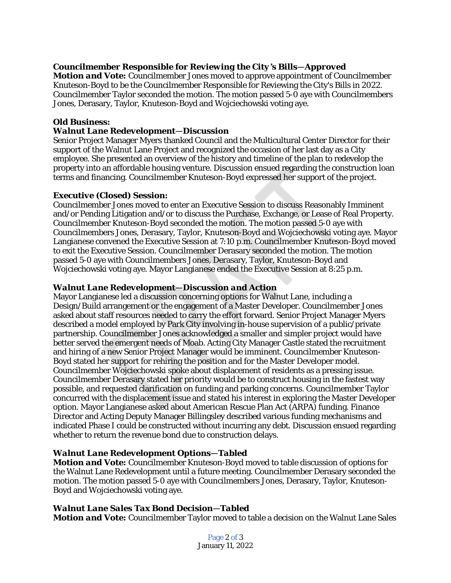# *Councilmember Responsible for Reviewing the City's Bills—Approved*

*Motion and Vote:* Councilmember Jones moved to approve appointment of Councilmember Knuteson-Boyd to be the Councilmember Responsible for Reviewing the City's Bills in 2022. Councilmember Taylor seconded the motion. The motion passed 5-0 aye with Councilmembers Jones, Derasary, Taylor, Knuteson-Boyd and Wojciechowski voting aye.

## *Old Business:*

### *Walnut Lane Redevelopment—Discussion*

Senior Project Manager Myers thanked Council and the Multicultural Center Director for their support of the Walnut Lane Project and recognized the occasion of her last day as a City employee. She presented an overview of the history and timeline of the plan to redevelop the property into an affordable housing venture. Discussion ensued regarding the construction loan terms and financing. Councilmember Knuteson-Boyd expressed her support of the project.

### *Executive (Closed) Session:*

Councilmember Jones moved to enter an Executive Session to discuss Reasonably Imminent and/or Pending Litigation and/or to discuss the Purchase, Exchange, or Lease of Real Property. Councilmember Knuteson-Boyd seconded the motion. The motion passed 5-0 aye with Councilmembers Jones, Derasary, Taylor, Knuteson-Boyd and Wojciechowski voting aye. Mayor Langianese convened the Executive Session at 7:10 p.m. Councilmember Knuteson-Boyd moved to exit the Executive Session. Councilmember Derasary seconded the motion. The motion passed 5-0 aye with Councilmembers Jones, Derasary, Taylor, Knuteson-Boyd and Wojciechowski voting aye. Mayor Langianese ended the Executive Session at 8:25 p.m.

# *Walnut Lane Redevelopment—Discussion and Action*

Mayor Langianese led a discussion concerning options for Walnut Lane, including a Design/Build arrangement or the engagement of a Master Developer. Councilmember Jones asked about staff resources needed to carry the effort forward. Senior Project Manager Myers described a model employed by Park City involving in-house supervision of a public/private partnership. Councilmember Jones acknowledged a smaller and simpler project would have better served the emergent needs of Moab. Acting City Manager Castle stated the recruitment and hiring of a new Senior Project Manager would be imminent. Councilmember Knuteson-Boyd stated her support for rehiring the position and for the Master Developer model. Councilmember Wojciechowski spoke about displacement of residents as a pressing issue. Councilmember Derasary stated her priority would be to construct housing in the fastest way possible, and requested clarification on funding and parking concerns. Councilmember Taylor concurred with the displacement issue and stated his interest in exploring the Master Developer option. Mayor Langianese asked about American Rescue Plan Act (ARPA) funding. Finance Director and Acting Deputy Manager Billingsley described various funding mechanisms and indicated Phase I could be constructed without incurring any debt. Discussion ensued regarding whether to return the revenue bond due to construction delays.

# *Walnut Lane Redevelopment Options—Tabled*

*Motion and Vote:* Councilmember Knuteson-Boyd moved to table discussion of options for the Walnut Lane Redevelopment until a future meeting. Councilmember Derasary seconded the motion. The motion passed 5-0 aye with Councilmembers Jones, Derasary, Taylor, Knuteson-Boyd and Wojciechowski voting aye.

# *Walnut Lane Sales Tax Bond Decision—Tabled*

*Motion and Vote:* Councilmember Taylor moved to table a decision on the Walnut Lane Sales

Page 2 of 3 January 11, 2022